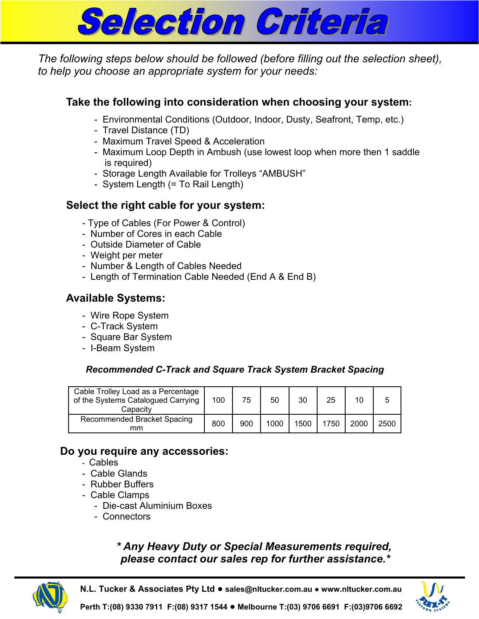

*The following steps below should be followed (before filling out the selection sheet), to help you choose an appropriate system for your needs:* 

## **Take the following into consideration when choosing your system:**

- Environmental Conditions (Outdoor, Indoor, Dusty, Seafront, Temp, etc.)
- Travel Distance (TD)
- Maximum Travel Speed & Acceleration
- Maximum Loop Depth in Ambush (use lowest loop when more then 1 saddle is required)
- Storage Length Available for Trolleys "AMBUSH"
- System Length (= To Rail Length)

## **Select the right cable for your system:**

- Type of Cables (For Power & Control)
- Number of Cores in each Cable
- Outside Diameter of Cable
- Weight per meter
- Number & Length of Cables Needed
- Length of Termination Cable Needed (End A & End B)

### **Available Systems:**

- Wire Rope System
- C-Track System
- Square Bar System
- I-Beam System

#### *Recommended C-Track and Square Track System Bracket Spacing*

| Cable Trolley Load as a Percentage<br>of the Systems Catalogued Carrying<br>Capacity | 100 | 75  | 50   | 30   | 25   | 10   |      |
|--------------------------------------------------------------------------------------|-----|-----|------|------|------|------|------|
| Recommended Bracket Spacing<br>mm                                                    | 800 | 900 | 1000 | 1500 | 1750 | 2000 | 2500 |

#### **Do you require any accessories:**

- Cables
- Cable Glands
- Rubber Buffers
- Cable Clamps
	- Die-cast Aluminium Boxes
	- Connectors

# *\* Any Heavy Duty or Special Measurements required, please contact our sales rep for further assistance.\**



**N.L. Tucker & Associates Pty Ltd** ● **sales@nltucker.com.au ● www.nltucker.com.au**